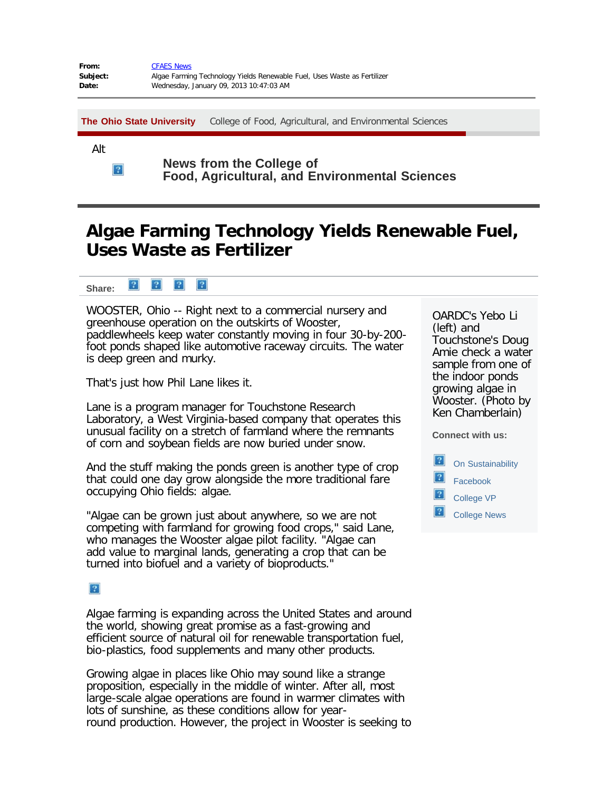| From:    | <b>CFAES News</b>                                                        |
|----------|--------------------------------------------------------------------------|
| Subject: | Algae Farming Technology Yields Renewable Fuel, Uses Waste as Fertilizer |
| Date:    | Wednesday, January 09, 2013 10:47:03 AM                                  |

**[The Ohio State University](http://www.osu.edu/)** [College of Food, Agricultural, and Environmental Sciences](http://cfaes.osu.edu/)

Alt

 $\mathbf{P}$ 

**News from the College of Food, Agricultural, and Environmental Sciences**

## **Algae Farming Technology Yields Renewable Fuel, Uses Waste as Fertilizer**

 $|2|$  $|2|$  $|2|$  $|2|$ **Share:** 

WOOSTER, Ohio -- Right next to a commercial nursery and greenhouse operation on the outskirts of Wooster, paddlewheels keep water constantly moving in four 30-by-200 foot ponds shaped like automotive raceway circuits. The water is deep green and murky.

That's just how Phil Lane likes it.

Lane is a program manager for Touchstone Research Laboratory, a West Virginia-based company that operates this unusual facility on a stretch of farmland where the remnants of corn and soybean fields are now buried under snow.

And the stuff making the ponds green is another type of crop that could one day grow alongside the more traditional fare occupying Ohio fields: algae.

"Algae can be grown just about anywhere, so we are not competing with farmland for growing food crops," said Lane, who manages the Wooster algae pilot facility. "Algae can add value to marginal lands, generating a crop that can be turned into biofuel and a variety of bioproducts."

## $|2\rangle$

Algae farming is expanding across the United States and around the world, showing great promise as a fast-growing and efficient source of natural oil for renewable transportation fuel, bio-plastics, food supplements and many other products.

Growing algae in places like Ohio may sound like a strange proposition, especially in the middle of winter. After all, most large-scale algae operations are found in warmer climates with lots of sunshine, as these conditions allow for yearround production. However, the project in Wooster is seeking to OARDC's Yebo Li (left) and Touchstone's Doug Amie check a water sample from one of the indoor ponds growing algae in Wooster. (Photo by Ken Chamberlain)

**Connect with us:**

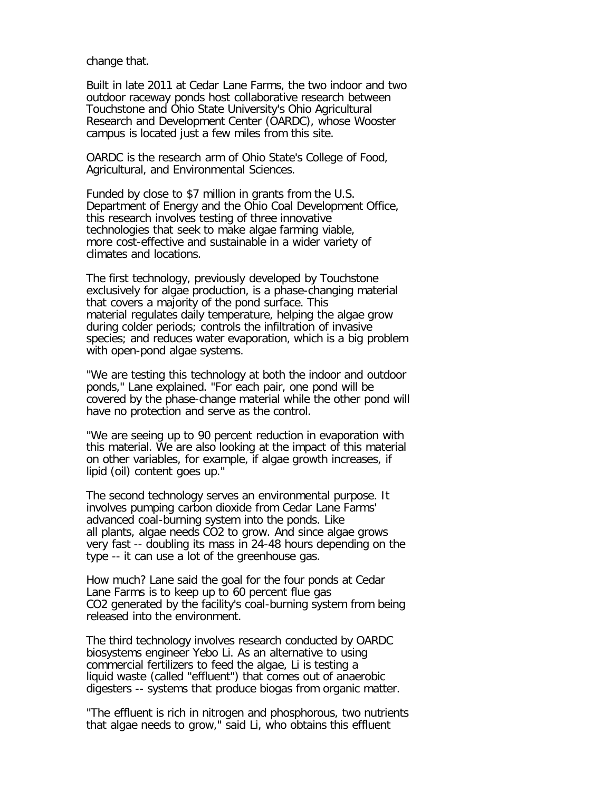change that.

Built in late 2011 at Cedar Lane Farms, the two indoor and two outdoor raceway ponds host collaborative research between Touchstone and Ohio State University's Ohio Agricultural Research and Development Center (OARDC), whose Wooster campus is located just a few miles from this site.

OARDC is the research arm of Ohio State's College of Food, Agricultural, and Environmental Sciences.

Funded by close to \$7 million in grants from the U.S. Department of Energy and the Ohio Coal Development Office, this research involves testing of three innovative technologies that seek to make algae farming viable, more cost-effective and sustainable in a wider variety of climates and locations.

The first technology, previously developed by Touchstone exclusively for algae production, is a phase-changing material that covers a majority of the pond surface. This material regulates daily temperature, helping the algae grow during colder periods; controls the infiltration of invasive species; and reduces water evaporation, which is a big problem with open-pond algae systems.

"We are testing this technology at both the indoor and outdoor ponds," Lane explained. "For each pair, one pond will be covered by the phase-change material while the other pond will have no protection and serve as the control.

"We are seeing up to 90 percent reduction in evaporation with this material. We are also looking at the impact of this material on other variables, for example, if algae growth increases, if lipid (oil) content goes up."

The second technology serves an environmental purpose. It involves pumping carbon dioxide from Cedar Lane Farms' advanced coal-burning system into the ponds. Like all plants, algae needs CO2 to grow. And since algae grows very fast -- doubling its mass in 24-48 hours depending on the type -- it can use a lot of the greenhouse gas.

How much? Lane said the goal for the four ponds at Cedar Lane Farms is to keep up to 60 percent flue gas CO2 generated by the facility's coal-burning system from being released into the environment.

The third technology involves research conducted by OARDC biosystems engineer Yebo Li. As an alternative to using commercial fertilizers to feed the algae, Li is testing a liquid waste (called "effluent") that comes out of anaerobic digesters -- systems that produce biogas from organic matter.

"The effluent is rich in nitrogen and phosphorous, two nutrients that algae needs to grow," said Li, who obtains this effluent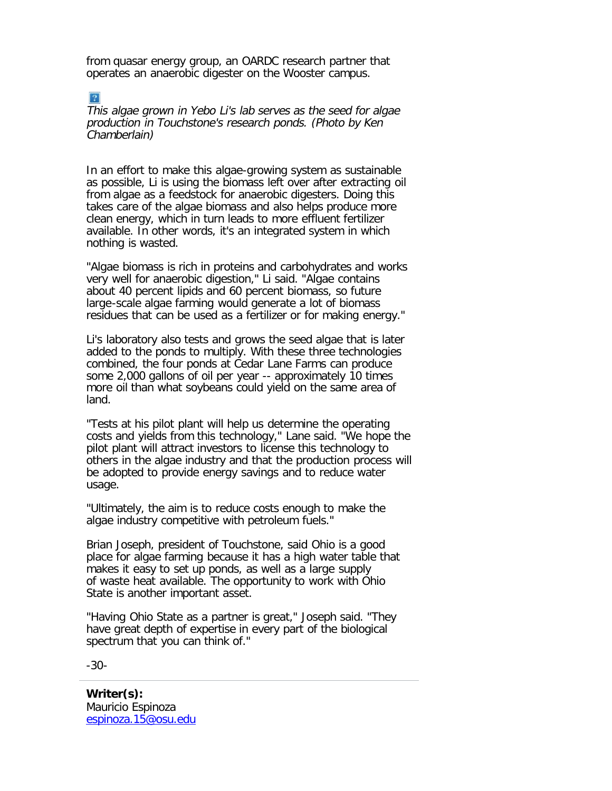from quasar energy group, an OARDC research partner that operates an anaerobic digester on the Wooster campus.

This algae grown in Yebo Li's lab serves as the seed for algae production in Touchstone's research ponds. (Photo by Ken Chamberlain)

In an effort to make this algae-growing system as sustainable as possible, Li is using the biomass left over after extracting oil from algae as a feedstock for anaerobic digesters. Doing this takes care of the algae biomass and also helps produce more clean energy, which in turn leads to more effluent fertilizer available. In other words, it's an integrated system in which nothing is wasted.

"Algae biomass is rich in proteins and carbohydrates and works very well for anaerobic digestion," Li said. "Algae contains about 40 percent lipids and 60 percent biomass, so future large-scale algae farming would generate a lot of biomass residues that can be used as a fertilizer or for making energy."

Li's laboratory also tests and grows the seed algae that is later added to the ponds to multiply. With these three technologies combined, the four ponds at Cedar Lane Farms can produce some 2,000 gallons of oil per year -- approximately 10 times more oil than what soybeans could yield on the same area of land.

"Tests at his pilot plant will help us determine the operating costs and yields from this technology," Lane said. "We hope the pilot plant will attract investors to license this technology to others in the algae industry and that the production process will be adopted to provide energy savings and to reduce water usage.

"Ultimately, the aim is to reduce costs enough to make the algae industry competitive with petroleum fuels."

Brian Joseph, president of Touchstone, said Ohio is a good place for algae farming because it has a high water table that makes it easy to set up ponds, as well as a large supply of waste heat available. The opportunity to work with Ohio State is another important asset.

"Having Ohio State as a partner is great," Joseph said. "They have great depth of expertise in every part of the biological spectrum that you can think of."

-30-

 $|2|$ 

**Writer(s):** Mauricio Espinoza [espinoza.15@osu.edu](mailto:espinoza.15@osu.edu)